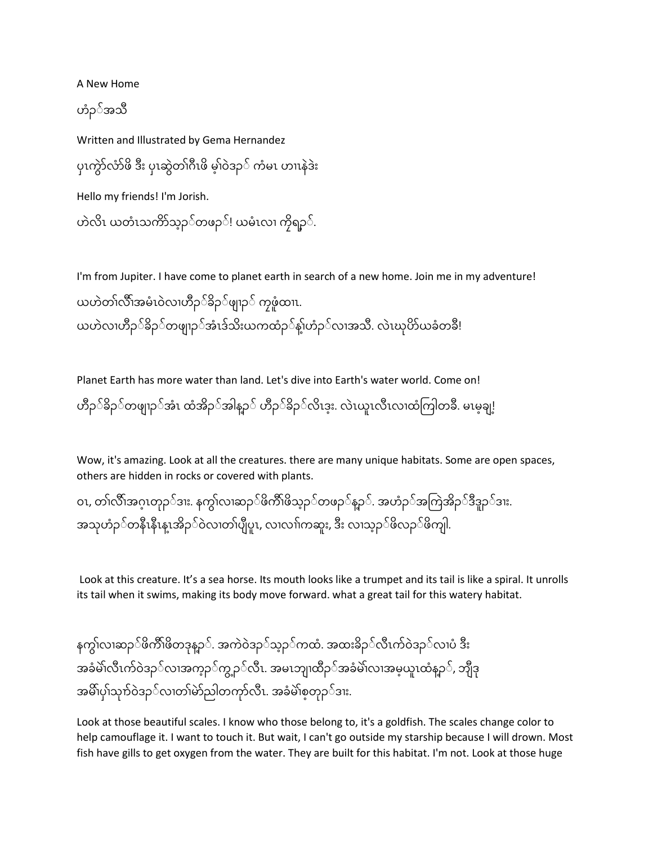A New Home

ဟ ံၣ် အသီ

Written and Illustrated by Gema Hernandez ပုၤကွဲာလာဖိ ဒီး ပုၤဆွဲတၢဂိဳၤဖိ မ့ၢဝဲဒဉ့် ကံမၤ ဟၢၤနဲဒဲး Hello my friends! I'm Jorish. ဟဲလိၤ ယတံၤသက်ာသ္ဥုိတဖဉ္း ယမံၤလၢ ကိုရဥ္ိ.

I'm from Jupiter. I have come to planet earth in search of a new home. Join me in my adventure! ယဟဲတၢ်လိိၢအမံၤဝဲလၢဟိႆာ်ခိဉ်ဖျၢာ် ကၠဖုံထၢၤ. ယဟဲလၢဟိႆဉှဲခိဉှဲတဖျၢဉှဲအံၤဒ်သီးယကထံဉှဲနဲ့ၢဟံဉှဲလၢအသီ. လဲၤဃုဟ်ယခံတခ်ိ!

Planet Earth has more water than land. Let's dive into Earth's water world. Come on! ဟိဉ်ဲခိဉ်ဲတဖျာဉ်ဲအံၤ ထံအိဉ်ဲအနြာ်ဲ ဟိဉ်ဲခိဉ်ဲလိၤဒူး. လဲၤယူၤလီၤလၢထံကြတြခ်ိ. မၤမ္ခချ့!

Wow, it's amazing. Look at all the creatures. there are many unique habitats. Some are open spaces, others are hidden in rocks or covered with plants.

၀ၤ, တၢလိၢအဂ္ၤတုဉ်ဒၢး. နက္ဂ်ၤလၢဆဉ္ဲဖိက်ိဳၤဖိသ္ဥ္်တဖဉ္နည့္တဲ. အဟံဉ္်အကြဲအိဉ္နဲဒီဒူဥ္္ဒား. အသုဟံဉ်ဲတနီၤနီၤန္ၤအိဉ္ဲဝဲလၢတၢပျိပူၤ, လၢလၢၤကဆူး, ဒီး လၢသ္ဉ္်ဖိလဉ္်ဖိကျါ.

Look at this creature. It's a sea horse. Its mouth looks like a trumpet and its tail is like a spiral. It unrolls its tail when it swims, making its body move forward. what a great tail for this watery habitat.

နကွဲၤလၢဆဉ**်ဖိကိၢ်ဖိတဒုန္**ဥ**ဲ. အကဲဝဲဒဉ**်သ္ဥ**ဲကထံ. အထးခိဉ**်လီၤက်ဝဲဒဉ**်လၢပံ** ဒီး အခံမဲ၊လီၤက်ဝဲဒဉ်လ၊အက္ခဉ္ဝဲက္ခဥ္ေလီၤ. အမၤဘုု၊ထိႆဉ္်အခံမဲ၊လ၊အမ္နယူၤထံန္ဥ္်ဲ, ဘိုုဒ္ အမိၢပုံ၊သုက်ဝဲဒဉ`ဲလၢတၢမဲာ်ညါတကုာ်လီၤ. အခံမဲ`ၢစ့တုဉ`ဲဒၢး.

Look at those beautiful scales. I know who those belong to, it's a goldfish. The scales change color to help camouflage it. I want to touch it. But wait, I can't go outside my starship because I will drown. Most fish have gills to get oxygen from the water. They are built for this habitat. I'm not. Look at those huge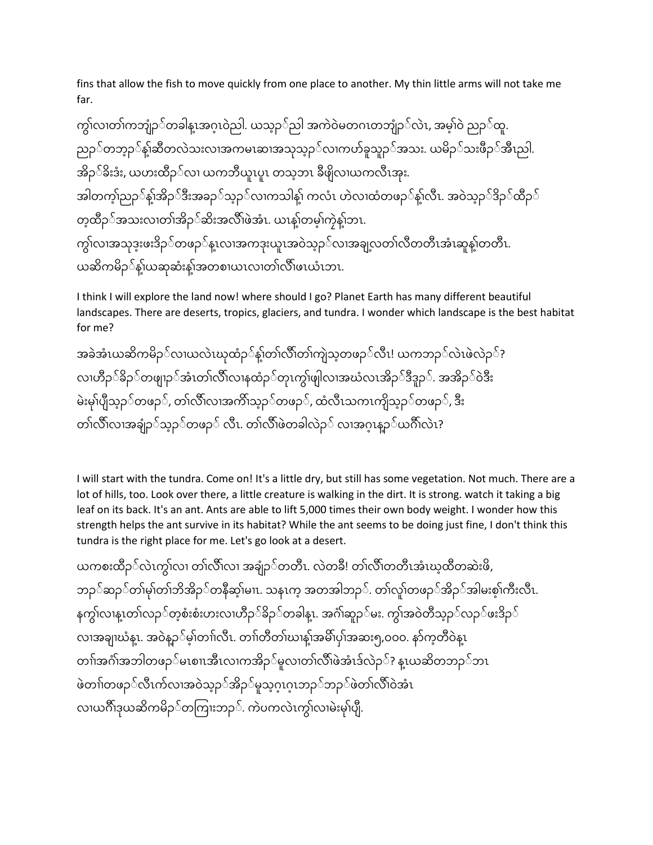fins that allow the fish to move quickly from one place to another. My thin little arms will not take me far.

ကွဲ၊လၢတဲ၊ကဘုုံဉ`တခါန့ၤအဂ္ဂၤဝဲညါ. ယသ္ဥ`ဲညါ အကဲဝဲမတဂၤတဘုုံဉ`လဲၤ, အမဲ့ၢဲဝဲ ညဉ`ဲထူ. ညဉ်တဘွဉ်နဲ့၊ဆီတလဲသးလၢအကမၤဆၢအသုသ္ဥင်္လာ၊ကဟ်ခူသူဥင်အသး. ယမိဉင်္သားဖီဥင်္သားညါ. အိဉ််ခိးဒံး, ယဟးထီံဉ်လ၊ ယကဘီယူၤပူၤ တသ့ဘၤ ခီဖိုလ၊ယကလီၤအုး. အါတကဲ့)ညဉ`ဲနဲ့၊အိဉ`်ဒီးအခဉ`ဲသ့ဉ`ဲလၢကသါနဲ့၊ ကလံၤ ဟဲလ၊ထံတဖဉ`ဲနဲ့၊လီၤ. အဝဲသ့ဉ`ဲဒိဉ`ဲထိီဉ` တဲ့ထိဉှ်အသးလၢတၢအိဉှ်ဆီးအလီ၊ဖဲအံၤ. ယၤနဲ့၊တမဲ့၊ကဲ့နဲ့၊ဘၤ. ကွဲ၊လၢအသုဒ္နးဖးဒိဉှဲတဖဉ္ဲန္၊လၢအကဒုးယူ၊အဝဲသ္ဥ္ပုံလၢအချလတဲ၊လီတတီၤအံ၊ဆူနဲ့၊တတီ၊. ယဆိကမိဉ့်နဲ့၊ယဆုဆုံးနဲ့၊အတစၢယၤလၢတဲ၊လိ၊ဖၤယံၤဘၤ.

I think I will explore the land now! where should I go? Planet Earth has many different beautiful landscapes. There are deserts, tropics, glaciers, and tundra. I wonder which landscape is the best habitat for me?

```
အခဲအံၤယဆိကမိဉှဲလၢယလဲၤဃုထံဉှဲနဲ့ၢတၢဲလိၢတ၊ကျဲသ္စတဖဉ္ဲလီၤ! ယကဘဉ္ဲလဲၤဖဲလဲဉ္ဲ?
လ၊ဟီဉင််ခိဉင်တဖျၢဉင်အံၤတၢ်လိၢ်လၢနထံဉင်တုၤကွၢ်ဖျါလ၊အဃံလၤအိဉင်္ဒီဒီဒူဉင်. အအိဉင်ဝဲဒီး
မဲးမု၊်ပျီသ္ဥာ်တဖဉ်, တၤ်လိၤ်လၢအကိၢသ္ဥ်တဖဉ်, ထံလီၤသကၤကျိသ္ဥ်တဖဉ်, ဒီး
တဲၤလီၤလၢအချဉ်ဲသွဉ်ဲတဖဉ် လီၤ. တဲၤလီၤဖဲတခါလဲဉ် လၢအဂ္ဂၤန္ဉ်ယဂီၤလဲၤ?
```
I will start with the tundra. Come on! It's a little dry, but still has some vegetation. Not much. There are a lot of hills, too. Look over there, a little creature is walking in the dirt. It is strong. watch it taking a big leaf on its back. It's an ant. Ants are able to lift 5,000 times their own body weight. I wonder how this strength helps the ant survive in its habitat? While the ant seems to be doing just fine, I don't think this tundra is the right place for me. Let's go look at a desert.

ယကစီးထီံၣ် လွဲှၤက လ တ လီ လ အခ ံၣ် တတီှၤ. လွဲတခီ! တ လီ တတီှၤအ ှၤဃ ထီတဆွဲီးဖိ, ဘံၣ်ဆ ံၣ်တ မု တ ဘအ ိ ံၣ ိ ်တ နဆ ီ မ ှၤ. သနှၤက အတအါဘံၣ်. တ လ ၠူ တဖံၣ်အ ံၣ ိ ်အ ါမီးစ ကီး ီ လှၤ ီ. နက လ နှၤ တ လံၣ်တ စ ီး စီး ဟီးလ ဟံၣ ီ ်ခ ံၣ ိ ်တ ခါနှၤ . အဂ ဆံၣၠူ ်မ ီး. က အဝွဲတသ ီ ံၣ ်လ ံၣ်ဖ ီးဒံၣ ိ ် လ အခ ဃန ှၤ . အဝွဲနံၣ ်မ တ လှၤ ီ. တ တတ ီ ဃ န အမ ိ ပ အဆီး၅,၀၀၀. န ကတ ဝ ီ ွဲနှၤ တ အဂ အဘါတဖံၣ် မှၤစ ှၤအီှၤလ ကအိံၣ် မၠူလ တ လီ ဖွဲအ ှၤဒ လွဲံၣ် ? နှၤ ယဆတ ိ ဘံၣ်ဘ ှၤ ဖွဲတ တဖံၣ်လ ှၤ ီ ဂ လ အဝွဲသံၣ ်အ ံၣ ိ ်မ ၠူသဂ ှၤ ဂ ှၤဘံၣ်ဘ ံၣ်ဖ ွဲတ လ ီ ဝွဲအှၤ လ ယဂီ ဒုယဆိကမိံၣ် တကက ီးဘံၣ် . ကွဲပကလွဲှၤက လ မွဲီးမု ပ ီ.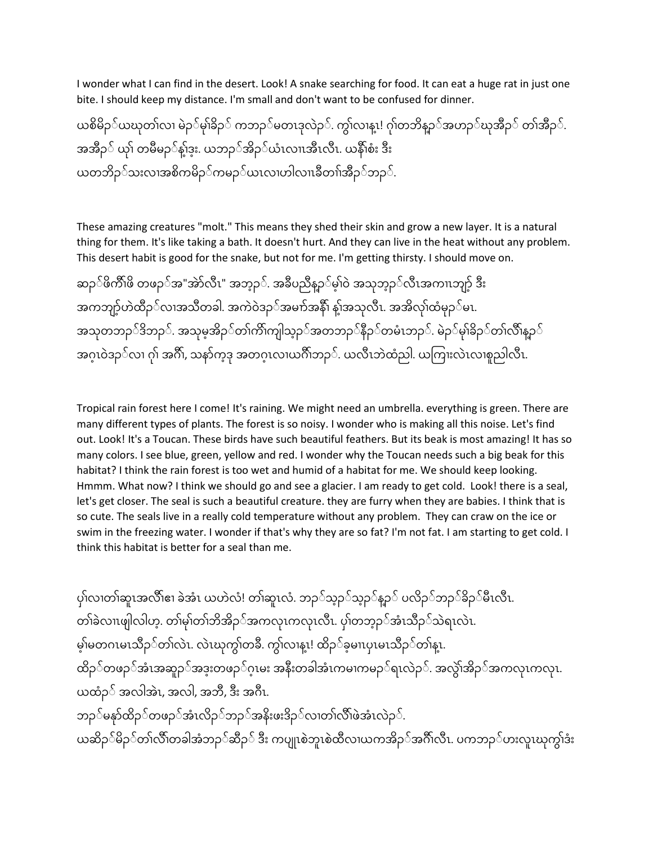I wonder what I can find in the desert. Look! A snake searching for food. It can eat a huge rat in just one bite. I should keep my distance. I'm small and don't want to be confused for dinner.

ယစိမိဉဲ်ယဃုတ်၊လၢ မဲဉဲ်မှဲ၊ခိဉဲ် ကဘဉဲ်မတၤဒုလဲဉ်. ကွဲ၊လၢန္!! ဂုဲ၊တဘိန္ဥ္ေအဟဉ္်ယုအီဉ္်ဲ တဲ၊အီဥ္်ဲ. အအီဉ**ဲ ယုၢ တမီမဉ**်နဲ့ၤဒူး. ယဘဉ**်အိဉ**်ယံၤလၤၤအီၤလီၤ. ယနီၤစံး ဒီး ယတဘိဉှ်သးလၢအစိကမိဉှ်ကမဉှ်ယၤလၢဟါလၢၤခီတၢ်အီဉှ်ဘဉှှ်.

These amazing creatures "molt." This means they shed their skin and grow a new layer. It is a natural thing for them. It's like taking a bath. It doesn't hurt. And they can live in the heat without any problem. This desert habit is good for the snake, but not for me. I'm getting thirsty. I should move on.

ဆဉ်ဖိက်ိဳၢဖိ တဖဉ်အ"အဲာ်လီၤ" အဘ္ဉှဉ်. အခ်ိဳပညီန္ဝှင်မဲ့ၢဝဲ အသုဘ္ဝုိလီၤအကၢၤဘုဂ္ဂ် ဒီး အကဘျာ့်ဟဲထိဉှ်လၢအသိတခါ. အကဲဝဲဒဉှ်အမက်အနီ၊ နဲ့၊အသုလီၤ. အအိလုံ၊ထံမှဉ့်မၤ. အသုတဘဉဲဒိဘဉင်. အသုမ့အိဉင်တဲ၊ကိၢကျပြာဉင်အတဘဉင်နီဉင်တမံၤဘဉင်. မဲဉင်မှၢဲခိဉင်တဲ၊လိၢန္နာင် အဂ္ဂၤဝဲဒဉ်ဲလ၊ ဂုၢံ အဂ်ိၢ, သနာ်က္ဒဒု အတဂ္ဂၤလၢယဂိၢဘဉ်ဲ. ယလီၤဘဲထံညါ. ယကြၢးလဲၤလၢစူညါလီၤ.

Tropical rain forest here I come! It's raining. We might need an umbrella. everything is green. There are many different types of plants. The forest is so noisy. I wonder who is making all this noise. Let's find out. Look! It's a Toucan. These birds have such beautiful feathers. But its beak is most amazing! It has so many colors. I see blue, green, yellow and red. I wonder why the Toucan needs such a big beak for this habitat? I think the rain forest is too wet and humid of a habitat for me. We should keep looking. Hmmm. What now? I think we should go and see a glacier. I am ready to get cold. Look! there is a seal, let's get closer. The seal is such a beautiful creature. they are furry when they are babies. I think that is so cute. The seals live in a really cold temperature without any problem. They can craw on the ice or swim in the freezing water. I wonder if that's why they are so fat? I'm not fat. I am starting to get cold. I think this habitat is better for a seal than me.

ပုဲၢလၢတဲ၊ဆူၤအလီၢဧၢ ခဲအံၤ ယဟဲလံ! တဲ၊ဆူၤလံ. ဘဉ်သ္ဥာဲသ္ဥာဲန္ဥာဲ ပလိဉၥ်ဘဉ်ဲခိဉ်ဲမီၤလီၤ. တၢ်ခဲလၢၤဖျါလါဟ္. တၢ်မှၢ်တၢ်ဘိအိဉှ်အကလုၤကလုၤလီၤ. ပု၊်တဘ္ဥှ်အံၤသီဥ္်သဲရၤလဲၤ. မဲ့ၫမတဂၤမၤသီဉ`ဲတၢလဲၤ. လဲၤဃုကွဲၤတခ်ီ. ကွဲၤလၢနူၤ! ထိဉ`ဲခ့မၢၤပုၤမၤသီဉ`ဲတၢနူၤ. ထိဉဲဲတဖဉ`ဲအံၤအဆူဉ`ဲအဒူးတဖဉ`ဲဂ့ၤမး အနီးတခါအံၤကမၢကမဉ`ဲရၤလဲဉ`ဲ. အလွဲဲ၊အိဉ`ဲအကလုၤကလုၤ. ယထံဉ $\delta$  အလါအဲၤ, အလါ, အဘီ, ဒီး အဂီၤ. ဘဉ််မနှာ်ထိဉ**်တဖဉ**်အံၤလိဉ**်ဘဉ**်အနိးဖးဒိဉ**်လၢတၢ်လိ်ၤဖဲအံၤလဲ**ဉ**်**. ယဆိဉ**်မိဉ**်တၢ်လိ်ဳ၊တခါအံဘဉ**်ဆီဉ**် ဒီး ကပျုၤစဲဘူၤစဲထီလ၊ယကအိဉ**်အဂိ်ၤလီၤ. ပကဘဉ**်ဟးလူၤဃုကွၢ်ဒံး